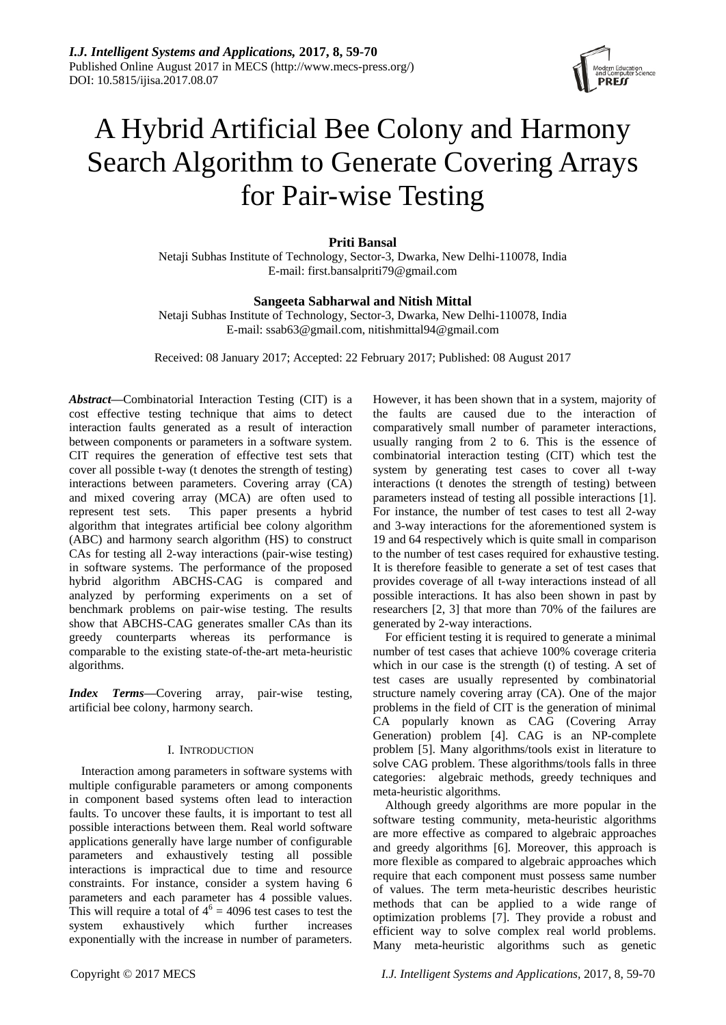

# A Hybrid Artificial Bee Colony and Harmony Search Algorithm to Generate Covering Arrays for Pair-wise Testing

# **Priti Bansal**

Netaji Subhas Institute of Technology, Sector-3, Dwarka, New Delhi-110078, India E-mail: first.bansalpriti79@gmail.com

## **Sangeeta Sabharwal and Nitish Mittal**

Netaji Subhas Institute of Technology, Sector-3, Dwarka, New Delhi-110078, India E-mail: ssab63@gmail.com, nitishmittal94@gmail.com

Received: 08 January 2017; Accepted: 22 February 2017; Published: 08 August 2017

*Abstract***—**Combinatorial Interaction Testing (CIT) is a cost effective testing technique that aims to detect interaction faults generated as a result of interaction between components or parameters in a software system. CIT requires the generation of effective test sets that cover all possible t-way (t denotes the strength of testing) interactions between parameters. Covering array (CA) and mixed covering array (MCA) are often used to represent test sets. This paper presents a hybrid algorithm that integrates artificial bee colony algorithm (ABC) and harmony search algorithm (HS) to construct CAs for testing all 2-way interactions (pair-wise testing) in software systems. The performance of the proposed hybrid algorithm ABCHS-CAG is compared and analyzed by performing experiments on a set of benchmark problems on pair-wise testing. The results show that ABCHS-CAG generates smaller CAs than its greedy counterparts whereas its performance is comparable to the existing state-of-the-art meta-heuristic algorithms.

*Index Terms*—Covering array, pair-wise testing, artificial bee colony, harmony search.

#### I. INTRODUCTION

Interaction among parameters in software systems with multiple configurable parameters or among components in component based systems often lead to interaction faults. To uncover these faults, it is important to test all possible interactions between them. Real world software applications generally have large number of configurable parameters and exhaustively testing all possible interactions is impractical due to time and resource constraints. For instance, consider a system having 6 parameters and each parameter has 4 possible values. This will require a total of  $4^6 = 4096$  test cases to test the system exhaustively which further increases exponentially with the increase in number of parameters. However, it has been shown that in a system, majority of the faults are caused due to the interaction of comparatively small number of parameter interactions, usually ranging from 2 to 6. This is the essence of combinatorial interaction testing (CIT) which test the system by generating test cases to cover all t-way interactions (t denotes the strength of testing) between parameters instead of testing all possible interactions [1]. For instance, the number of test cases to test all 2-way and 3-way interactions for the aforementioned system is 19 and 64 respectively which is quite small in comparison to the number of test cases required for exhaustive testing. It is therefore feasible to generate a set of test cases that provides coverage of all t-way interactions instead of all possible interactions. It has also been shown in past by researchers [2, 3] that more than 70% of the failures are generated by 2-way interactions.

For efficient testing it is required to generate a minimal number of test cases that achieve 100% coverage criteria which in our case is the strength (t) of testing. A set of test cases are usually represented by combinatorial structure namely covering array (CA). One of the major problems in the field of CIT is the generation of minimal CA popularly known as CAG (Covering Array Generation) problem [4]. CAG is an NP-complete problem [5]. Many algorithms/tools exist in literature to solve CAG problem. These algorithms/tools falls in three categories: algebraic methods, greedy techniques and meta-heuristic algorithms.

Although greedy algorithms are more popular in the software testing community, meta-heuristic algorithms are more effective as compared to algebraic approaches and greedy algorithms [6]. Moreover, this approach is more flexible as compared to algebraic approaches which require that each component must possess same number of values. The term meta-heuristic describes heuristic methods that can be applied to a wide range of optimization problems [7]. They provide a robust and efficient way to solve complex real world problems. Many meta-heuristic algorithms such as genetic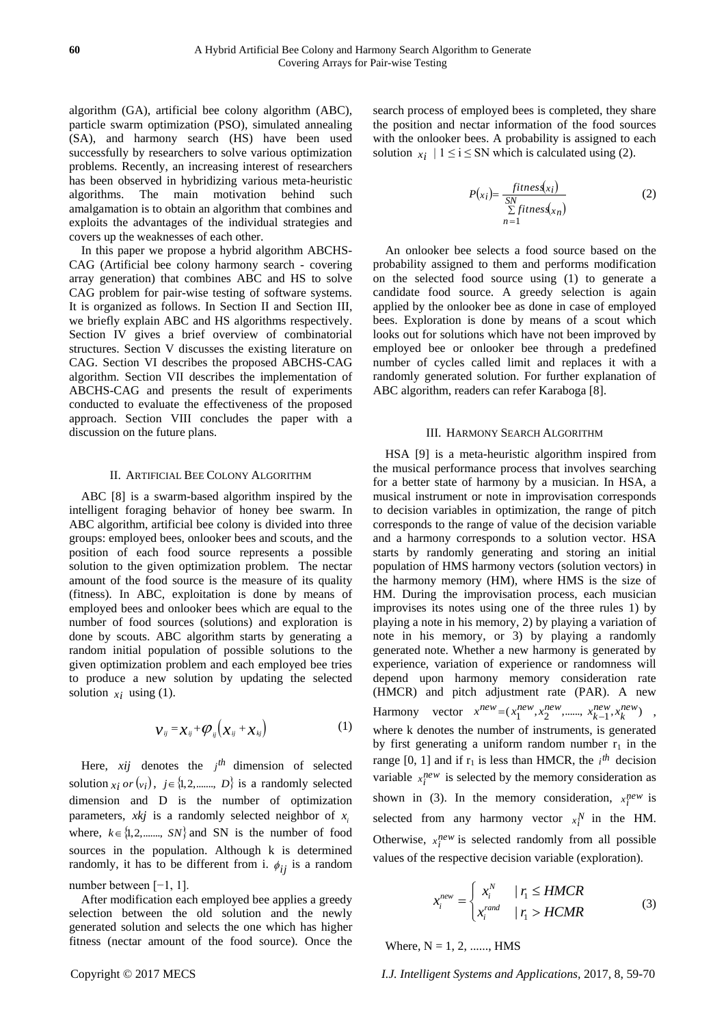algorithm (GA), artificial bee colony algorithm (ABC), particle swarm optimization (PSO), simulated annealing (SA), and harmony search (HS) have been used successfully by researchers to solve various optimization problems. Recently, an increasing interest of researchers has been observed in hybridizing various meta-heuristic algorithms. The main motivation behind such amalgamation is to obtain an algorithm that combines and exploits the advantages of the individual strategies and covers up the weaknesses of each other.

In this paper we propose a hybrid algorithm ABCHS-CAG (Artificial bee colony harmony search - covering array generation) that combines ABC and HS to solve CAG problem for pair-wise testing of software systems. It is organized as follows. In Section II and Section III, we briefly explain ABC and HS algorithms respectively. Section IV gives a brief overview of combinatorial structures. Section V discusses the existing literature on CAG. Section VI describes the proposed ABCHS-CAG algorithm. Section VII describes the implementation of ABCHS-CAG and presents the result of experiments conducted to evaluate the effectiveness of the proposed approach. Section VIII concludes the paper with a discussion on the future plans.

### II. ARTIFICIAL BEE COLONY ALGORITHM

ABC [8] is a swarm-based algorithm inspired by the intelligent foraging behavior of honey bee swarm. In ABC algorithm, artificial bee colony is divided into three groups: employed bees, onlooker bees and scouts, and the position of each food source represents a possible solution to the given optimization problem. The nectar amount of the food source is the measure of its quality (fitness). In ABC, exploitation is done by means of employed bees and onlooker bees which are equal to the number of food sources (solutions) and exploration is done by scouts. ABC algorithm starts by generating a random initial population of possible solutions to the given optimization problem and each employed bee tries to produce a new solution by updating the selected solution  $x_i$  using (1).

$$
\mathcal{V}_{ij} = \mathcal{X}_{ij} + \mathcal{O}_{ij} \Big( \mathcal{X}_{ij} + \mathcal{X}_{kj} \Big) \tag{1}
$$

Here,  $xij$  denotes the  $j<sup>th</sup>$  dimension of selected solution  $x_i$  or  $(v_i)$ ,  $j \in \{1, 2, \dots, D\}$  is a randomly selected dimension and D is the number of optimization parameters,  $x k j$  is a randomly selected neighbor of  $x_i$ where,  $k \in \{1, 2, \dots, SN\}$  and SN is the number of food sources in the population. Although k is determined randomly, it has to be different from i.  $\phi_{ij}$  is a random number between [−1, 1].

After modification each employed bee applies a greedy selection between the old solution and the newly generated solution and selects the one which has higher fitness (nectar amount of the food source). Once the search process of employed bees is completed, they share the position and nectar information of the food sources with the onlooker bees. A probability is assigned to each solution  $x_i$  | 1 ≤ i ≤ SN which is calculated using (2).

$$
P(x_i) = \frac{fitness(x_i)}{\sum\limits_{n=1}^{SN} fitness(x_n)}
$$
 (2)

An onlooker bee selects a food source based on the probability assigned to them and performs modification on the selected food source using (1) to generate a candidate food source. A greedy selection is again applied by the onlooker bee as done in case of employed bees. Exploration is done by means of a scout which looks out for solutions which have not been improved by employed bee or onlooker bee through a predefined number of cycles called limit and replaces it with a randomly generated solution. For further explanation of ABC algorithm, readers can refer Karaboga [8].

#### III. HARMONY SEARCH ALGORITHM

HSA [9] is a meta-heuristic algorithm inspired from the musical performance process that involves searching for a better state of harmony by a musician. In HSA, a musical instrument or note in improvisation corresponds to decision variables in optimization, the range of pitch corresponds to the range of value of the decision variable and a harmony corresponds to a solution vector. HSA starts by randomly generating and storing an initial population of HMS harmony vectors (solution vectors) in the harmony memory (HM), where HMS is the size of HM. During the improvisation process, each musician improvises its notes using one of the three rules 1) by playing a note in his memory, 2) by playing a variation of note in his memory, or 3) by playing a randomly generated note. Whether a new harmony is generated by experience, variation of experience or randomness will depend upon harmony memory consideration rate (HMCR) and pitch adjustment rate (PAR). A new Harmony vector  $x^{new} = (x_1^{new}, x_2^{new}, \dots, x_{k-1}^{new}, x_k^{new})$ *k new k*  $x^{new} = (x_1^{new}, x_2^{new}, \dots, x_{k-1}^{new}, x_k^{new})$ , where k denotes the number of instruments, is generated by first generating a uniform random number  $r_1$  in the range [0, 1] and if  $r_1$  is less than HMCR, the  $i<sup>th</sup>$  decision variable  $x_i^{new}$  is selected by the memory consideration as shown in (3). In the memory consideration,  $x_i^{new}$  is selected from any harmony vector  $x_i^N$  in the HM. Otherwise,  $x_i^{new}$  is selected randomly from all possible values of the respective decision variable (exploration).

$$
x_i^{new} = \begin{cases} x_i^N & |r_i \leq HMCR\\ x_i^{rand} & |r_i > HCMR \end{cases} \tag{3}
$$

Where,  $N = 1, 2, \dots, HMS$ 

Copyright © 2017 MECS *I.J. Intelligent Systems and Applications,* 2017, 8, 59-70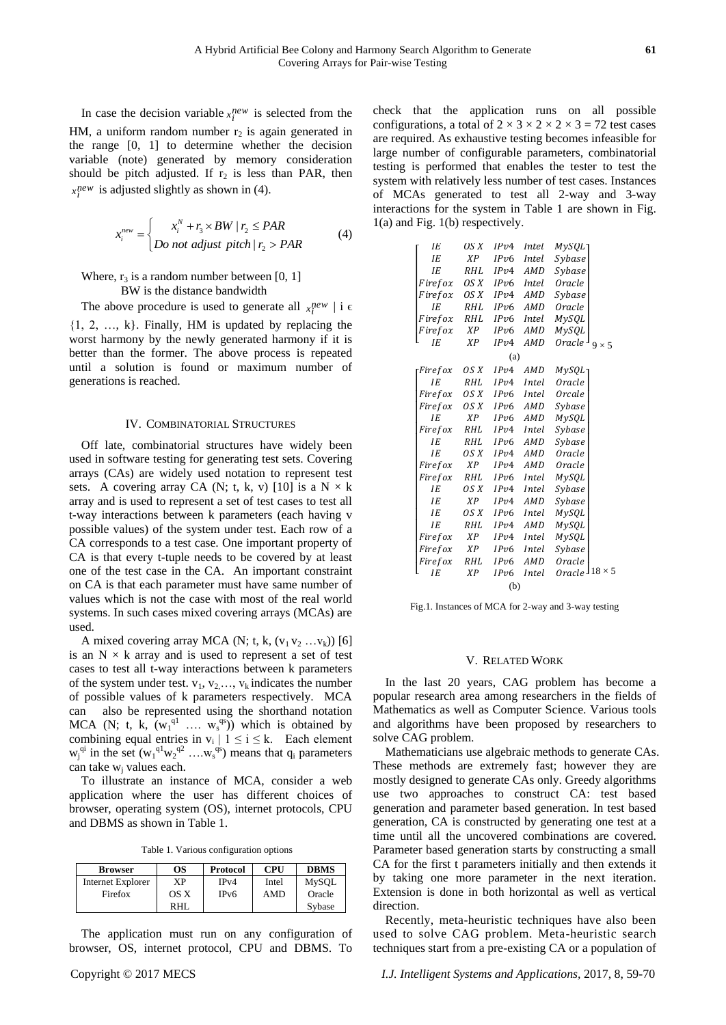In case the decision variable  $x_i^{new}$  is selected from the HM, a uniform random number  $r_2$  is again generated in the range [0, 1] to determine whether the decision variable (note) generated by memory consideration should be pitch adjusted. If  $r_2$  is less than PAR, then  $x_i^{new}$  is adjusted slightly as shown in (4).

$$
x_i^{new} = \begin{cases} x_i^N + r_3 \times BW \mid r_2 \leq PAR \\ Do \text{ not adjust pitch} \mid r_2 > PAR \end{cases} \tag{4}
$$

# Where,  $r_3$  is a random number between [0, 1] BW is the distance bandwidth

The above procedure is used to generate all  $x_i^{new}$  | i  $\epsilon$ 

{1, 2, …, k}. Finally, HM is updated by replacing the worst harmony by the newly generated harmony if it is better than the former. The above process is repeated until a solution is found or maximum number of generations is reached.

#### IV. COMBINATORIAL STRUCTURES

Off late, combinatorial structures have widely been used in software testing for generating test sets. Covering arrays (CAs) are widely used notation to represent test sets. A covering array CA (N; t, k, v) [10] is a  $N \times k$ array and is used to represent a set of test cases to test all t-way interactions between k parameters (each having v possible values) of the system under test. Each row of a CA corresponds to a test case. One important property of CA is that every t-tuple needs to be covered by at least one of the test case in the CA. An important constraint on CA is that each parameter must have same number of values which is not the case with most of the real world systems. In such cases mixed covering arrays (MCAs) are used.

A mixed covering array MCA (N; t, k,  $(v_1 v_2 ... v_k)$ ) [6] is an  $N \times k$  array and is used to represent a set of test cases to test all t-way interactions between k parameters of the system under test.  $v_1, v_2, \ldots, v_k$  indicates the number of possible values of k parameters respectively. MCA can also be represented using the shorthand notation MCA (N; t, k,  $(w_1^{q_1} \dots w_s^{q_s})$ ) which is obtained by combining equal entries in  $v_i | 1 \le i \le k$ . Each element  $w_j^{qi}$  in the set  $(w_1^{q_1}w_2^{q_2} \ldots w_s^{q_s})$  means that  $q_i$  parameters can take w<sub>i</sub> values each.

To illustrate an instance of MCA, consider a web application where the user has different choices of browser, operating system (OS), internet protocols, CPU and DBMS as shown in Table 1.

Table 1. Various configuration options

| <b>Browser</b>           | OS   | Protocol          | <b>CPU</b> | <b>DBMS</b>  |
|--------------------------|------|-------------------|------------|--------------|
| <b>Internet Explorer</b> | XР   | IPv4              | Intel      | <b>MySOL</b> |
| Firefox                  | OS X | IP <sub>v</sub> 6 | <b>AMD</b> | Oracle       |
|                          | RHI. |                   |            | Sybase       |

The application must run on any configuration of browser, OS, internet protocol, CPU and DBMS. To check that the application runs on all possible configurations, a total of  $2 \times 3 \times 2 \times 2 \times 3 = 72$  test cases are required. As exhaustive testing becomes infeasible for large number of configurable parameters, combinatorial testing is performed that enables the tester to test the system with relatively less number of test cases. Instances of MCAs generated to test all 2-way and 3-way interactions for the system in Table 1 are shown in Fig. 1(a) and Fig. 1(b) respectively.

| ΙE      | OS X       | IPv4 | <b>Intel</b>  | MySQL <sup>.</sup> |               |
|---------|------------|------|---------------|--------------------|---------------|
| ΙE      | XP         | IPv6 | <b>Intel</b>  | Sybase             |               |
| IE      | RHL        | IPv4 | AMD           | Sybase             |               |
| Firefox | OS X       | IPv6 | <i>Intel.</i> | Oracle             |               |
| Firefox | OS X       | IPv4 | AMD           | Sybase             |               |
| ΙE      | RHL        | IPv6 | <b>AMD</b>    | Oracle             |               |
| Firefox | RHL        | IPv6 | <b>Intel</b>  | MySQL              |               |
| Firefox | ΧP         | IPv6 | AMD           | MySQL              |               |
| ΙE      | XP         | IPv4 | AMD           | Oracle             | $9 \times 5$  |
|         |            | (a)  |               |                    |               |
| Firefox | OS X       | IPv4 | AMD           | MySQL              |               |
| IE      | RHL        | IPv4 | Intel         | Oracle             |               |
| Firefox | OS X       | IPv6 | Intel         | Orcale             |               |
| Firefox | OS X       | IPv6 | AMD           | Sybase             |               |
| IE      | XP         | IPv6 | AMD           | MySQL              |               |
| Firefox | RHL        | IPv4 | Intel         | Sybase             |               |
| ΙE      | RHL        | IPv6 | <b>AMD</b>    | Sybase             |               |
| IE      | OS X       | IPv4 | AMD           | Oracle             |               |
| Firefox | XP         | IPv4 | AMD           | Oracle             |               |
| Firefox | RHL        | IPv6 | Intel         | MySQL              |               |
| IE      | OS X       | IPv4 | Intel         | Sybase             |               |
| ΙE      | <b>XP</b>  | IPv4 | AMD           | Sybase             |               |
| IΕ      | OS X       | IPv6 | Intel         | MySQL              |               |
| IE      | <b>RHL</b> | IPv4 | AMD           | MySQL              |               |
| Firefox | ΧP         | IPv4 | Intel         | MySQL              |               |
| Firefox | XP         | IPv6 | Intel         | Sybase             |               |
| Firefox | RHL        | IPv6 | AMD           | Oracle             |               |
| ΙE      | <b>XP</b>  | IPv6 | Intel         | Oracle             | $18 \times 5$ |
|         |            | (b)  |               |                    |               |

Fig.1. Instances of MCA for 2-way and 3-way testing

#### V. RELATED WORK

In the last 20 years, CAG problem has become a popular research area among researchers in the fields of Mathematics as well as Computer Science. Various tools and algorithms have been proposed by researchers to solve CAG problem.

Mathematicians use algebraic methods to generate CAs. These methods are extremely fast; however they are mostly designed to generate CAs only. Greedy algorithms use two approaches to construct CA: test based generation and parameter based generation. In test based generation, CA is constructed by generating one test at a time until all the uncovered combinations are covered. Parameter based generation starts by constructing a small CA for the first t parameters initially and then extends it by taking one more parameter in the next iteration. Extension is done in both horizontal as well as vertical direction.

Recently, meta-heuristic techniques have also been used to solve CAG problem. Meta-heuristic search techniques start from a pre-existing CA or a population of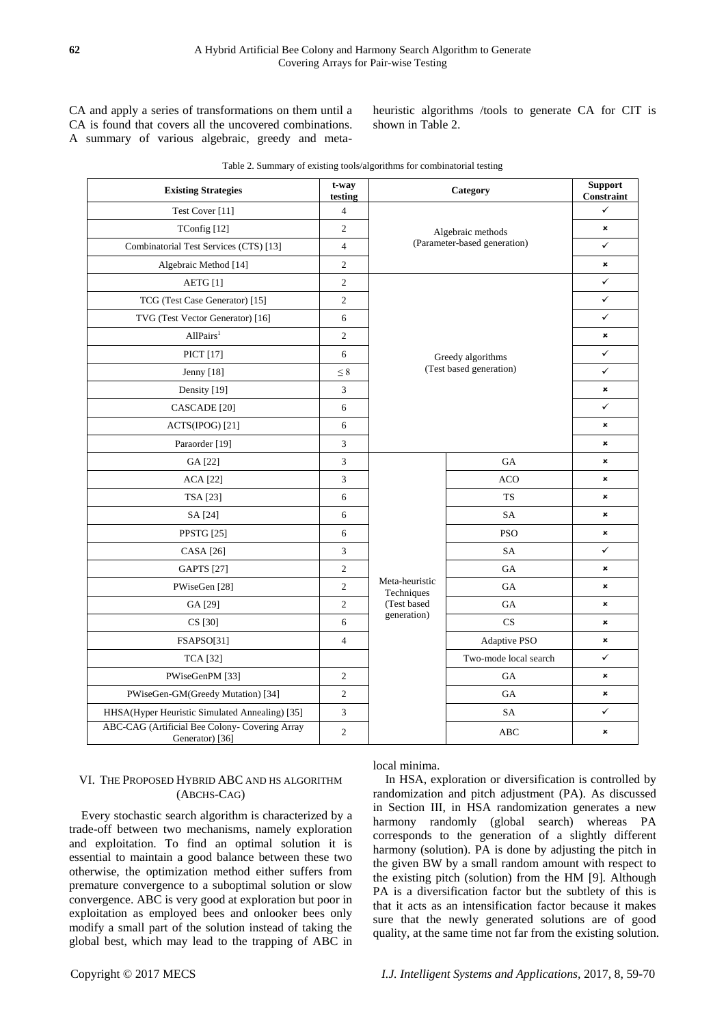CA and apply a series of transformations on them until a CA is found that covers all the uncovered combinations. A summary of various algebraic, greedy and metaheuristic algorithms /tools to generate CA for CIT is shown in Table 2.

| <b>Existing Strategies</b>                                        | t-way<br>testing |                              | Category                     | <b>Support</b><br>Constraint |  |  |  |
|-------------------------------------------------------------------|------------------|------------------------------|------------------------------|------------------------------|--|--|--|
| Test Cover [11]                                                   | $\overline{4}$   |                              |                              | $\checkmark$                 |  |  |  |
| TConfig [12]                                                      | $\overline{c}$   |                              | Algebraic methods            | $\pmb{\times}$               |  |  |  |
| Combinatorial Test Services (CTS) [13]                            | $\overline{4}$   |                              | (Parameter-based generation) | ✓                            |  |  |  |
| Algebraic Method [14]                                             | $\overline{c}$   |                              |                              | ×                            |  |  |  |
| AETG [1]                                                          | $\overline{c}$   |                              | $\checkmark$                 |                              |  |  |  |
| TCG (Test Case Generator) [15]                                    | $\overline{c}$   |                              |                              |                              |  |  |  |
| TVG (Test Vector Generator) [16]                                  | 6                |                              |                              | $\checkmark$                 |  |  |  |
| AllPairs <sup>1</sup>                                             | $\overline{c}$   |                              |                              | ×                            |  |  |  |
| PICT [17]                                                         | 6                |                              | Greedy algorithms            | $\checkmark$                 |  |  |  |
| Jenny [18]                                                        | $\leq 8$         |                              | (Test based generation)      | $\checkmark$                 |  |  |  |
| Density [19]                                                      | 3                |                              |                              | ×                            |  |  |  |
| CASCADE [20]                                                      | 6                |                              | $\checkmark$                 |                              |  |  |  |
| ACTS(IPOG) [21]                                                   | 6                |                              | $\pmb{\times}$               |                              |  |  |  |
| Paraorder [19]                                                    | 3                |                              |                              | $\pmb{\times}$               |  |  |  |
| GA [22]                                                           | $\mathfrak{Z}$   |                              | $_{\mathrm{GA}}$             | ×                            |  |  |  |
| <b>ACA</b> [22]                                                   | 3                |                              | ACO                          | ×                            |  |  |  |
| TSA [23]                                                          | 6                |                              | <b>TS</b>                    | $\pmb{\times}$               |  |  |  |
| SA [24]                                                           | 6                |                              | SA                           | ×                            |  |  |  |
| <b>PPSTG</b> [25]                                                 | 6                |                              | <b>PSO</b>                   | ×                            |  |  |  |
| CASA [26]                                                         | 3                |                              | SA                           | $\checkmark$                 |  |  |  |
| <b>GAPTS</b> [27]                                                 | $\overline{c}$   |                              | GA                           | ×                            |  |  |  |
| PWiseGen [28]                                                     | $\mathfrak{2}$   | Meta-heuristic<br>Techniques | GA                           | $\boldsymbol{\mathsf{x}}$    |  |  |  |
| GA [29]                                                           | $\overline{c}$   | (Test based                  | $_{\mathrm{GA}}$             | ×                            |  |  |  |
| CS [30]                                                           | 6                | generation)                  | CS                           | $\pmb{\times}$               |  |  |  |
| FSAPSO[31]                                                        | $\overline{4}$   |                              | Adaptive PSO                 | ×                            |  |  |  |
| <b>TCA</b> [32]                                                   |                  |                              | Two-mode local search        | $\checkmark$                 |  |  |  |
| PWiseGenPM [33]                                                   | $\boldsymbol{2}$ |                              | GA                           | $\pmb{\times}$               |  |  |  |
| PWiseGen-GM(Greedy Mutation) [34]                                 | $\boldsymbol{2}$ |                              | GA                           | $\pmb{\times}$               |  |  |  |
| HHSA(Hyper Heuristic Simulated Annealing) [35]                    | 3                |                              | SA                           | ✓                            |  |  |  |
| ABC-CAG (Artificial Bee Colony- Covering Array<br>Generator) [36] | $\mathfrak{2}$   |                              | <b>ABC</b>                   | $\pmb{\times}$               |  |  |  |

Table 2. Summary of existing tools/algorithms for combinatorial testing

# VI. THE PROPOSED HYBRID ABC AND HS ALGORITHM (ABCHS-CAG)

Every stochastic search algorithm is characterized by a trade-off between two mechanisms, namely exploration and exploitation. To find an optimal solution it is essential to maintain a good balance between these two otherwise, the optimization method either suffers from premature convergence to a suboptimal solution or slow convergence. ABC is very good at exploration but poor in exploitation as employed bees and onlooker bees only modify a small part of the solution instead of taking the global best, which may lead to the trapping of ABC in local minima.

In HSA, exploration or diversification is controlled by randomization and pitch adjustment (PA). As discussed in Section III, in HSA randomization generates a new harmony randomly (global search) whereas PA corresponds to the generation of a slightly different harmony (solution). PA is done by adjusting the pitch in the given BW by a small random amount with respect to the existing pitch (solution) from the HM [9]. Although PA is a diversification factor but the subtlety of this is that it acts as an intensification factor because it makes sure that the newly generated solutions are of good quality, at the same time not far from the existing solution.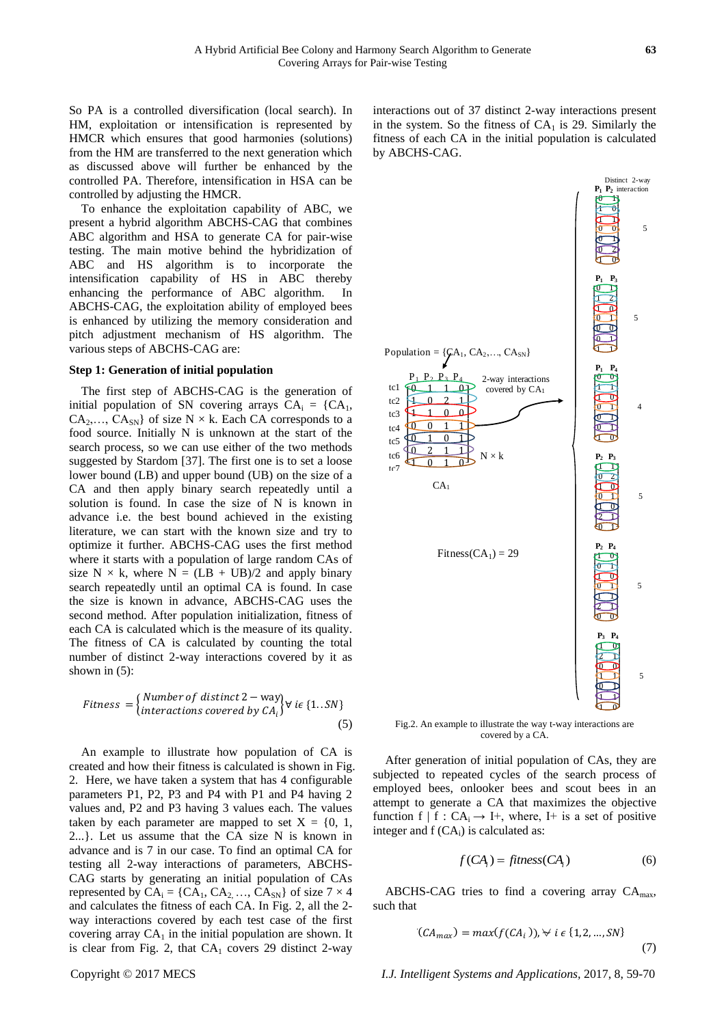So PA is a controlled diversification (local search). In HM, exploitation or intensification is represented by HMCR which ensures that good harmonies (solutions) from the HM are transferred to the next generation which as discussed above will further be enhanced by the controlled PA. Therefore, intensification in HSA can be controlled by adjusting the HMCR.

To enhance the exploitation capability of ABC, we present a hybrid algorithm ABCHS-CAG that combines ABC algorithm and HSA to generate CA for pair-wise testing. The main motive behind the hybridization of ABC and HS algorithm is to incorporate the intensification capability of HS in ABC thereby enhancing the performance of ABC algorithm. In ABCHS-CAG, the exploitation ability of employed bees is enhanced by utilizing the memory consideration and pitch adjustment mechanism of HS algorithm. The various steps of ABCHS-CAG are:

#### **Step 1: Generation of initial population**

The first step of ABCHS-CAG is the generation of initial population of SN covering arrays  $CA_i = \{CA_1,$  $CA_2, \ldots, CA_{SN}$  of size N  $\times$  k. Each CA corresponds to a food source. Initially N is unknown at the start of the search process, so we can use either of the two methods suggested by Stardom [37]. The first one is to set a loose lower bound (LB) and upper bound (UB) on the size of a CA and then apply binary search repeatedly until a solution is found. In case the size of N is known in advance i.e. the best bound achieved in the existing literature, we can start with the known size and try to optimize it further. ABCHS-CAG uses the first method where it starts with a population of large random CAs of size N  $\times$  k, where N = (LB + UB)/2 and apply binary search repeatedly until an optimal CA is found. In case the size is known in advance, ABCHS-CAG uses the second method. After population initialization, fitness of each CA is calculated which is the measure of its quality. The fitness of CA is calculated by counting the total number of distinct 2-way interactions covered by it as shown in (5):

$$
Fitness = \begin{cases} Number\ of\ distinct\ 2 - way \\ interactions\ covered\ by\ CA_i \end{cases} \forall\ ie\ \{1..SN\} \tag{5}
$$

An example to illustrate how population of CA is created and how their fitness is calculated is shown in Fig. 2. Here, we have taken a system that has 4 configurable parameters P1, P2, P3 and P4 with P1 and P4 having 2 values and, P2 and P3 having 3 values each. The values taken by each parameter are mapped to set  $X = \{0, 1, \ldots\}$ 2...}. Let us assume that the CA size N is known in advance and is 7 in our case. To find an optimal CA for testing all 2-way interactions of parameters, ABCHS-CAG starts by generating an initial population of CAs represented by  $CA_i = \{CA_1, CA_2, ..., CA_{SN}\}\$  of size  $7 \times 4$ and calculates the fitness of each CA. In Fig. 2, all the 2 way interactions covered by each test case of the first covering array  $CA<sub>1</sub>$  in the initial population are shown. It is clear from Fig. 2, that  $CA<sub>1</sub>$  covers 29 distinct 2-way

interactions out of 37 distinct 2-way interactions present in the system. So the fitness of  $CA<sub>1</sub>$  is 29. Similarly the fitness of each CA in the initial population is calculated by ABCHS-CAG.



Fig.2. An example to illustrate the way t-way interactions are covered by a CA.

After generation of initial population of CAs, they are subjected to repeated cycles of the search process of employed bees, onlooker bees and scout bees in an attempt to generate a CA that maximizes the objective function f | f :  $CA_i \rightarrow I^+$ , where, I+ is a set of positive integer and  $f(CA_i)$  is calculated as:

$$
f(CAi) = fitness(CAi)
$$
 (6)

ABCHS-CAG tries to find a covering array CAmax, such that

$$
C(A_{max}) = max(f(CA_i)), \forall i \in \{1, 2, \dots, SN\}
$$
\n
$$
(7)
$$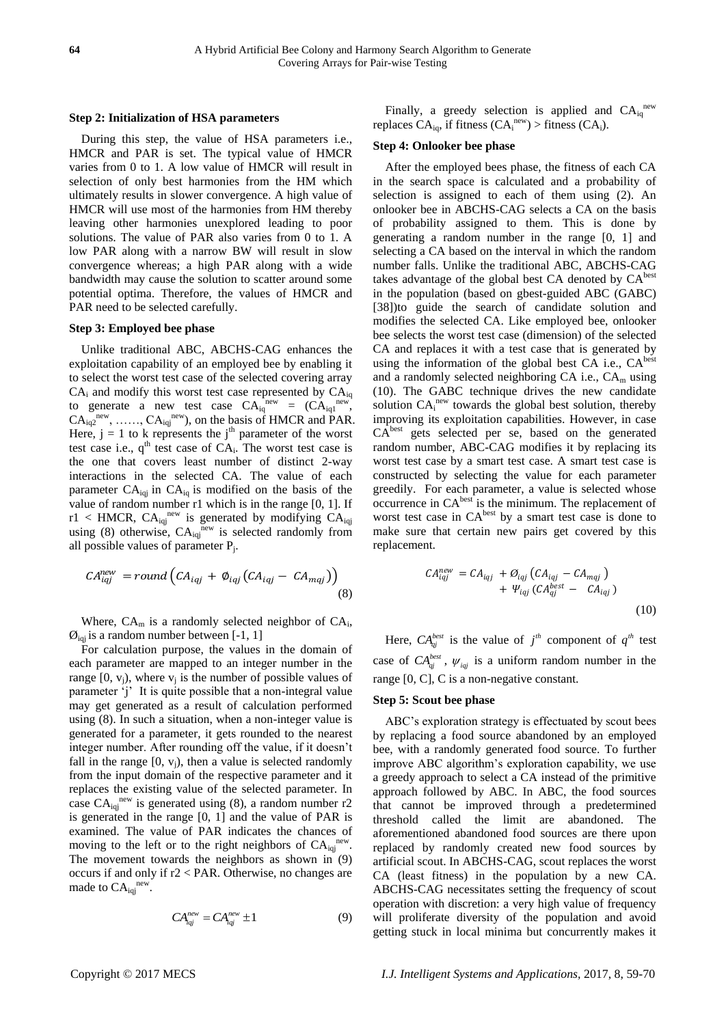## **Step 2: Initialization of HSA parameters**

During this step, the value of HSA parameters i.e., HMCR and PAR is set. The typical value of HMCR varies from 0 to 1. A low value of HMCR will result in selection of only best harmonies from the HM which ultimately results in slower convergence. A high value of HMCR will use most of the harmonies from HM thereby leaving other harmonies unexplored leading to poor solutions. The value of PAR also varies from 0 to 1. A low PAR along with a narrow BW will result in slow convergence whereas; a high PAR along with a wide bandwidth may cause the solution to scatter around some potential optima. Therefore, the values of HMCR and PAR need to be selected carefully.

## **Step 3: Employed bee phase**

Unlike traditional ABC, ABCHS-CAG enhances the exploitation capability of an employed bee by enabling it to select the worst test case of the selected covering array  $CA_i$  and modify this worst test case represented by  $CA_{iq}$ to generate a new test case  $CA_{iq}^{new} = (CA_{iq1}^{new})$ ,  $CA_{iq2}^{new}$ , ......,  $CA_{iqj}^{new}$ , on the basis of HMCR and PAR. Here,  $j = 1$  to k represents the j<sup>th</sup> parameter of the worst test case i.e.,  $q^{\text{th}}$  test case of  $CA_i$ . The worst test case is the one that covers least number of distinct 2-way interactions in the selected CA. The value of each parameter  $CA_{iq}$  in  $CA_{iq}$  is modified on the basis of the value of random number r1 which is in the range [0, 1]. If r1 < HMCR,  $CA_{iqj}^{new}$  is generated by modifying  $CA_{iqj}$ using (8) otherwise,  $CA_{iqj}^{new}$  is selected randomly from all possible values of parameter  $P_j$ .

$$
CA_{iqj}^{new} = round\left(CA_{iqj} + \phi_{iqj}\left(CA_{iqj} - CA_{mqj}\right)\right)
$$
\n(8)

Where,  $CA_m$  is a randomly selected neighbor of  $CA_i$ ,  $\mathcal{O}_{\text{inj}}$  is a random number between [-1, 1]

For calculation purpose, the values in the domain of each parameter are mapped to an integer number in the range  $[0, v_j)$ , where  $v_j$  is the number of possible values of parameter 'j' It is quite possible that a non-integral value may get generated as a result of calculation performed using (8). In such a situation, when a non-integer value is generated for a parameter, it gets rounded to the nearest integer number. After rounding off the value, if it doesn"t fall in the range  $[0, v<sub>i</sub>)$ , then a value is selected randomly from the input domain of the respective parameter and it replaces the existing value of the selected parameter. In case  $CA_{iqj}^{new}$  is generated using (8), a random number r2 is generated in the range [0, 1] and the value of PAR is examined. The value of PAR indicates the chances of moving to the left or to the right neighbors of  $CA_{iq}^{new}$ . The movement towards the neighbors as shown in (9) occurs if and only if r2 < PAR. Otherwise, no changes are made to  $CA_{iqj}^{\text{new}}$ .

$$
CA_{iqj}^{new} = CA_{iqj}^{new} \pm 1
$$
 (9)

Finally, a greedy selection is applied and  $CA_{iq}^{new}$ replaces  $CA_{iq}$ , if fitness  $(CA_i^{new}) >$  fitness  $(CA_i)$ .

## **Step 4: Onlooker bee phase**

After the employed bees phase, the fitness of each CA in the search space is calculated and a probability of selection is assigned to each of them using (2). An onlooker bee in ABCHS-CAG selects a CA on the basis of probability assigned to them. This is done by generating a random number in the range [0, 1] and selecting a CA based on the interval in which the random number falls. Unlike the traditional ABC, ABCHS-CAG takes advantage of the global best CA denoted by CA<sup>best</sup> in the population (based on gbest-guided ABC (GABC) [38])to guide the search of candidate solution and modifies the selected CA. Like employed bee, onlooker bee selects the worst test case (dimension) of the selected CA and replaces it with a test case that is generated by using the information of the global best CA i.e.,  $CA<sup>best</sup>$ and a randomly selected neighboring CA i.e.,  $CA<sub>m</sub>$  using (10). The GABC technique drives the new candidate solution CA<sub>i</sub><sup>new</sup> towards the global best solution, thereby improving its exploitation capabilities. However, in case CA<sup>best</sup> gets selected per se, based on the generated random number, ABC-CAG modifies it by replacing its worst test case by a smart test case. A smart test case is constructed by selecting the value for each parameter greedily. For each parameter, a value is selected whose occurrence in CA<sup>best</sup> is the minimum. The replacement of worst test case in CA<sup>best</sup> by a smart test case is done to make sure that certain new pairs get covered by this replacement.

$$
CA_{iqj}^{new} = CA_{iqj} + \mathcal{O}_{iqj} (CA_{iqj} - CA_{mqj})
$$
  
+ 
$$
\Psi_{iqj} (CA_{qj}^{best} - CA_{iqj})
$$
  
(10)

Here,  $CA_{qj}^{best}$  is the value of  $j^{th}$  component of  $q^{th}$  test case of  $CA_{qj}^{best}$ ,  $\psi_{iqj}$  is a uniform random number in the range [0, C], C is a non-negative constant.

#### **Step 5: Scout bee phase**

ABC"s exploration strategy is effectuated by scout bees by replacing a food source abandoned by an employed bee, with a randomly generated food source. To further improve ABC algorithm"s exploration capability, we use a greedy approach to select a CA instead of the primitive approach followed by ABC. In ABC, the food sources that cannot be improved through a predetermined threshold called the limit are abandoned. The aforementioned abandoned food sources are there upon replaced by randomly created new food sources by artificial scout. In ABCHS-CAG, scout replaces the worst CA (least fitness) in the population by a new CA. ABCHS-CAG necessitates setting the frequency of scout operation with discretion: a very high value of frequency will proliferate diversity of the population and avoid getting stuck in local minima but concurrently makes it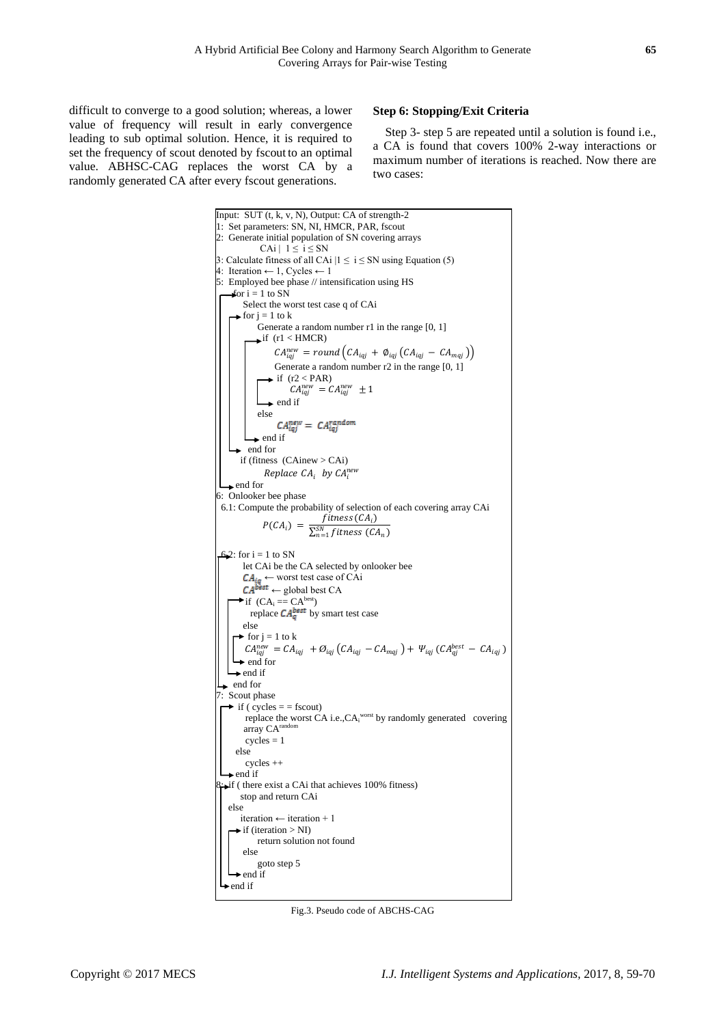difficult to converge to a good solution; whereas, a lower value of frequency will result in early convergence leading to sub optimal solution. Hence, it is required to set the frequency of scout denoted by fscout to an optimal value. ABHSC-CAG replaces the worst CA by a randomly generated CA after every fscout generations.

## **Step 6: Stopping/Exit Criteria**

Step 3- step 5 are repeated until a solution is found i.e., a CA is found that covers 100% 2-way interactions or maximum number of iterations is reached. Now there are two cases:



Fig.3. Pseudo code of ABCHS-CAG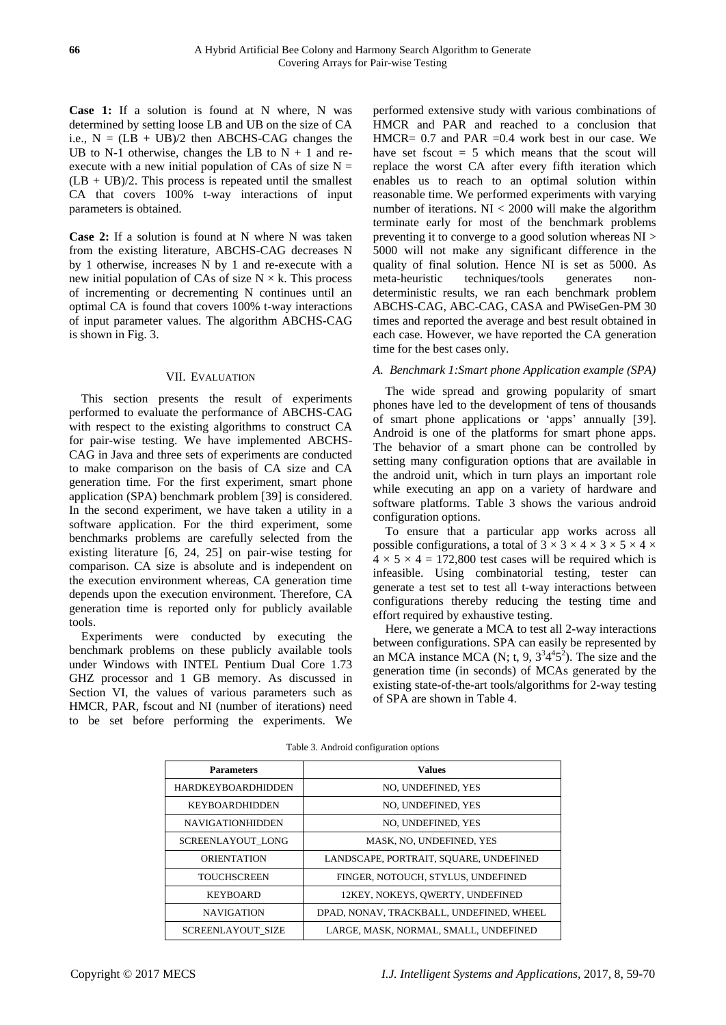**Case 1:** If a solution is found at N where, N was determined by setting loose LB and UB on the size of CA i.e.,  $N = (LB + UB)/2$  then ABCHS-CAG changes the UB to N-1 otherwise, changes the LB to  $N + 1$  and reexecute with a new initial population of CAs of size  $N =$  $(LB + UB)/2$ . This process is repeated until the smallest CA that covers 100% t-way interactions of input parameters is obtained.

**Case 2:** If a solution is found at N where N was taken from the existing literature, ABCHS-CAG decreases N by 1 otherwise, increases N by 1 and re-execute with a new initial population of CAs of size  $N \times k$ . This process of incrementing or decrementing N continues until an optimal CA is found that covers 100% t-way interactions of input parameter values. The algorithm ABCHS-CAG is shown in Fig. 3.

#### VII. EVALUATION

This section presents the result of experiments performed to evaluate the performance of ABCHS-CAG with respect to the existing algorithms to construct CA for pair-wise testing. We have implemented ABCHS-CAG in Java and three sets of experiments are conducted to make comparison on the basis of CA size and CA generation time. For the first experiment, smart phone application (SPA) benchmark problem [39] is considered. In the second experiment, we have taken a utility in a software application. For the third experiment, some benchmarks problems are carefully selected from the existing literature [6, 24, 25] on pair-wise testing for comparison. CA size is absolute and is independent on the execution environment whereas, CA generation time depends upon the execution environment. Therefore, CA generation time is reported only for publicly available tools.

Experiments were conducted by executing the benchmark problems on these publicly available tools under Windows with INTEL Pentium Dual Core 1.73 GHZ processor and 1 GB memory. As discussed in Section VI, the values of various parameters such as HMCR, PAR, fscout and NI (number of iterations) need to be set before performing the experiments. We

performed extensive study with various combinations of HMCR and PAR and reached to a conclusion that HMCR=  $0.7$  and PAR =0.4 work best in our case. We have set fscout  $= 5$  which means that the scout will replace the worst CA after every fifth iteration which enables us to reach to an optimal solution within reasonable time. We performed experiments with varying number of iterations.  $NI < 2000$  will make the algorithm terminate early for most of the benchmark problems preventing it to converge to a good solution whereas NI > 5000 will not make any significant difference in the quality of final solution. Hence NI is set as 5000. As meta-heuristic techniques/tools generates nondeterministic results, we ran each benchmark problem ABCHS-CAG, ABC-CAG, CASA and PWiseGen-PM 30 times and reported the average and best result obtained in each case. However, we have reported the CA generation time for the best cases only.

## *A. Benchmark 1:Smart phone Application example (SPA)*

The wide spread and growing popularity of smart phones have led to the development of tens of thousands of smart phone applications or 'apps' annually [39]. Android is one of the platforms for smart phone apps. The behavior of a smart phone can be controlled by setting many configuration options that are available in the android unit, which in turn plays an important role while executing an app on a variety of hardware and software platforms. Table 3 shows the various android configuration options.

To ensure that a particular app works across all possible configurations, a total of  $3 \times 3 \times 4 \times 3 \times 5 \times 4 \times$  $4 \times 5 \times 4 = 172,800$  test cases will be required which is infeasible. Using combinatorial testing, tester can generate a test set to test all t-way interactions between configurations thereby reducing the testing time and effort required by exhaustive testing.

Here, we generate a MCA to test all 2-way interactions between configurations. SPA can easily be represented by an MCA instance MCA (N; t, 9,  $3<sup>3</sup>4<sup>4</sup>5<sup>2</sup>$ ). The size and the generation time (in seconds) of MCAs generated by the existing state-of-the-art tools/algorithms for 2-way testing of SPA are shown in Table 4.

| <b>Parameters</b>         | <b>Values</b>                            |
|---------------------------|------------------------------------------|
| <b>HARDKEYBOARDHIDDEN</b> | NO. UNDEFINED, YES                       |
| <b>KEYBOARDHIDDEN</b>     | NO. UNDEFINED, YES                       |
| <b>NAVIGATIONHIDDEN</b>   | NO. UNDEFINED, YES                       |
| SCREENLAYOUT LONG         | MASK, NO, UNDEFINED, YES                 |
| <b>ORIENTATION</b>        | LANDSCAPE, PORTRAIT, SOUARE, UNDEFINED   |
| <b>TOUCHSCREEN</b>        | FINGER, NOTOUCH, STYLUS, UNDEFINED       |
| <b>KEYBOARD</b>           | 12KEY, NOKEYS, OWERTY, UNDEFINED         |
| <b>NAVIGATION</b>         | DPAD, NONAV, TRACKBALL, UNDEFINED, WHEEL |
| <b>SCREENLAYOUT SIZE</b>  | LARGE, MASK, NORMAL, SMALL, UNDEFINED    |

Table 3. Android configuration options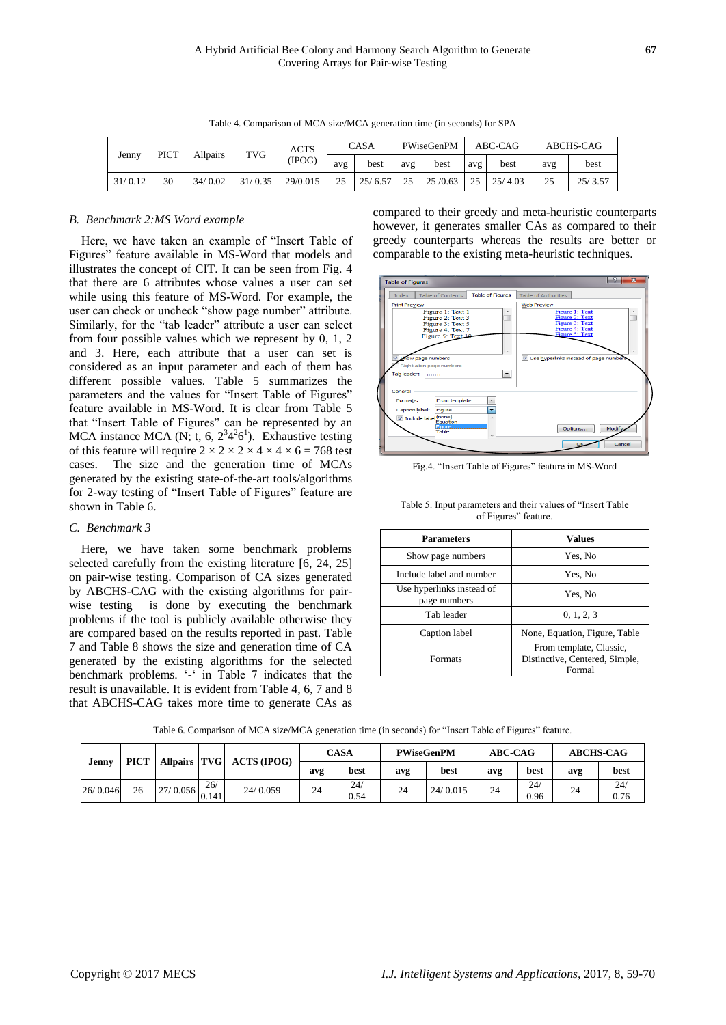|         | <b>PICT</b><br><b>Allpairs</b> | <b>TVG</b> | <b>ACTS</b> |          | CASA |         | PWiseGenPM |         | ABC-CAG | ABCHS-CAG |     |         |
|---------|--------------------------------|------------|-------------|----------|------|---------|------------|---------|---------|-----------|-----|---------|
| Jenny   |                                |            |             | (IPOG)   | avg  | best    | avg        | best    | avg     | best      | avg | best    |
| 31/0.12 | 30                             | 34/0.02    | 31/0.35     | 29/0.015 | 25   | 25/6.57 | 25         | 25/0.63 | 25      | 25/4.03   | 25  | 25/3.57 |

Table 4. Comparison of MCA size/MCA generation time (in seconds) for SPA

## *B. Benchmark 2:MS Word example*

Here, we have taken an example of "Insert Table of Figures" feature available in MS-Word that models and illustrates the concept of CIT. It can be seen from Fig. 4 that there are 6 attributes whose values a user can set while using this feature of MS-Word. For example, the user can check or uncheck "show page number" attribute. Similarly, for the "tab leader" attribute a user can select from four possible values which we represent by 0, 1, 2 and 3. Here, each attribute that a user can set is considered as an input parameter and each of them has different possible values. Table 5 summarizes the parameters and the values for "Insert Table of Figures" feature available in MS-Word. It is clear from Table 5 that "Insert Table of Figures" can be represented by an MCA instance MCA (N; t, 6,  $2^3 4^2 6^1$ ). Exhaustive testing of this feature will require  $2 \times 2 \times 2 \times 4 \times 4 \times 6 = 768$  test cases. The size and the generation time of MCAs generated by the existing state-of-the-art tools/algorithms for 2-way testing of "Insert Table of Figures" feature are shown in Table 6.

## *C. Benchmark 3*

Here, we have taken some benchmark problems selected carefully from the existing literature [6, 24, 25] on pair-wise testing. Comparison of CA sizes generated by ABCHS-CAG with the existing algorithms for pairwise testing is done by executing the benchmark problems if the tool is publicly available otherwise they are compared based on the results reported in past. Table 7 and Table 8 shows the size and generation time of CA generated by the existing algorithms for the selected benchmark problems. '-' in Table 7 indicates that the result is unavailable. It is evident from Table 4, 6, 7 and 8 that ABCHS-CAG takes more time to generate CAs as compared to their greedy and meta-heuristic counterparts however, it generates smaller CAs as compared to their greedy counterparts whereas the results are better or comparable to the existing meta-heuristic techniques.



Fig.4. "Insert Table of Figures" feature in MS-Word

| Table 5. Input parameters and their values of "Insert Table" |                      |  |  |
|--------------------------------------------------------------|----------------------|--|--|
|                                                              | of Figures" feature. |  |  |

| <b>Parameters</b>                         | <b>Values</b>                                                       |
|-------------------------------------------|---------------------------------------------------------------------|
| Show page numbers                         | Yes, No                                                             |
| Include label and number                  | Yes, No                                                             |
| Use hyperlinks instead of<br>page numbers | Yes, No                                                             |
| Tab leader                                | 0, 1, 2, 3                                                          |
| Caption label                             | None, Equation, Figure, Table                                       |
| Formats                                   | From template, Classic,<br>Distinctive, Centered, Simple,<br>Formal |

Table 6. Comparison of MCA size/MCA generation time (in seconds) for "Insert Table of Figures" feature.

| Jenny    | <b>PICT</b> |              |              | Allpairs   TVG   ACTS (IPOG) | CASA        |             |             | <b>PWiseGenPM</b> | <b>ABC-CAG</b> |             | <b>ABCHS-CAG</b> |             |  |
|----------|-------------|--------------|--------------|------------------------------|-------------|-------------|-------------|-------------------|----------------|-------------|------------------|-------------|--|
|          |             |              |              |                              | best<br>avg |             | best<br>avg |                   | avg            | best        | avg              |             |  |
| 26/0.046 | 26          | $27/0.056$ . | 26/<br>0.141 | 24/0.059                     | 24          | 24/<br>0.54 | 24          | 24/0.015          | 24             | 24/<br>0.96 | 24               | 24/<br>0.76 |  |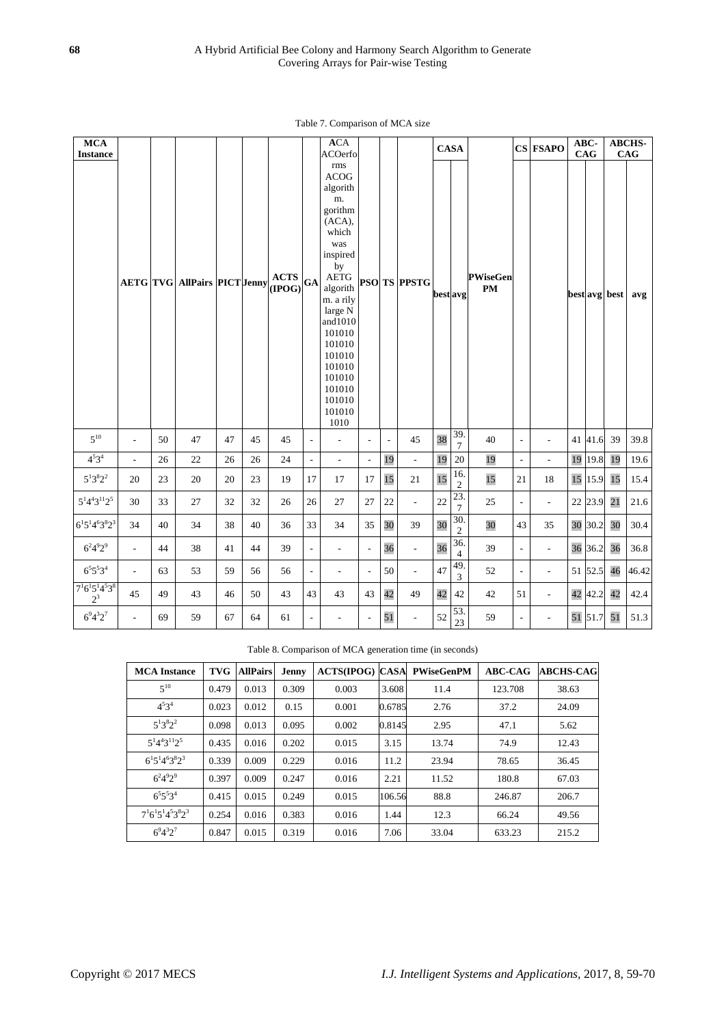## Table 7. Comparison of MCA size

| <b>MCA</b><br><b>Instance</b>        |                |    |                                                              |    |    |             |                          | ACA<br><b>ACOerfo</b>                                                                                                                                                                                                                         |                          |                |                          | <b>CASA</b> |                         |                                  |                          | CS FSAPO                 | ABC-<br>CAG |               | <b>ABCHS-</b><br>${\bf CAG}$ |
|--------------------------------------|----------------|----|--------------------------------------------------------------|----|----|-------------|--------------------------|-----------------------------------------------------------------------------------------------------------------------------------------------------------------------------------------------------------------------------------------------|--------------------------|----------------|--------------------------|-------------|-------------------------|----------------------------------|--------------------------|--------------------------|-------------|---------------|------------------------------|
|                                      |                |    | $\text{AETG}$ TVG AllPairs PICT Jenny $\text{ACT}$ (IPOG) GA |    |    | <b>ACTS</b> |                          | rms<br><b>ACOG</b><br>algorith<br>m.<br>gorithm<br>(ACA),<br>which<br>was<br>inspired<br>by<br>AETG<br>algorith<br>m. a rily<br>large N<br>and $1010$<br>101010<br>101010<br>101010<br>101010<br>101010<br>101010<br>101010<br>101010<br>1010 |                          |                | <b>PSO TS PPSTG</b>      | bestavg     |                         | <b>PWiseGen</b><br>$\mathbf{PM}$ |                          |                          |             | best avg best | avg                          |
| $5^{10}$                             | ÷.             | 50 | 47                                                           | 47 | 45 | 45          | $\sim$                   | $\overline{a}$                                                                                                                                                                                                                                | $\sim$                   | $\overline{a}$ | 45                       | 38          | 39.<br>$\overline{7}$   | 40                               | $\sim$                   | $\overline{a}$           | 41 41.6     | 39            | 39.8                         |
| $4^{5}3^{4}$                         | $\overline{a}$ | 26 | 22                                                           | 26 | 26 | 24          | $\overline{\phantom{a}}$ | $\overline{a}$                                                                                                                                                                                                                                | $\Box$                   | 19             | $\frac{1}{2}$            | 19          | 20                      | 19                               | $\overline{\phantom{a}}$ | $\overline{a}$           | 19 19.8     | 19            | 19.6                         |
| $5^13^82^2$                          | 20             | 23 | 20                                                           | 20 | 23 | 19          | 17                       | 17                                                                                                                                                                                                                                            | 17                       | 15             | 21                       | 15          | 16.<br>$\boldsymbol{2}$ | 15                               | 21                       | 18                       | 15 15.9     | 15            | 15.4                         |
| $5^14^43^112^5$                      | 30             | 33 | 27                                                           | 32 | 32 | 26          | $26\,$                   | 27                                                                                                                                                                                                                                            | 27                       | $22\,$         | $\frac{1}{2}$            | 22          | 23.<br>$\boldsymbol{7}$ | 25                               | $\overline{\phantom{a}}$ | $\overline{\phantom{a}}$ | 22 23.9     | 21            | 21.6                         |
| $6^15^14^63^82^3$                    | 34             | 40 | 34                                                           | 38 | 40 | 36          | 33                       | 34                                                                                                                                                                                                                                            | 35                       | 30             | 39                       | 30          | 30.<br>$\mathfrak{2}$   | 30                               | 43                       | 35                       | 30 30.2     | 30            | 30.4                         |
| $6^{2}4^{9}2^{9}$                    | $\overline{a}$ | 44 | 38                                                           | 41 | 44 | 39          | $\overline{\phantom{a}}$ | $\overline{\phantom{a}}$                                                                                                                                                                                                                      | $\overline{\phantom{a}}$ | 36             | $\overline{\phantom{a}}$ | 36          | 36.<br>$\overline{4}$   | 39                               | $\overline{\phantom{a}}$ | $\overline{\phantom{a}}$ | 36 36.2     | 36            | 36.8                         |
| $6^5 5^5 3^4$                        | $\overline{a}$ | 63 | 53                                                           | 59 | 56 | 56          | $\overline{\phantom{a}}$ | $\frac{1}{2}$                                                                                                                                                                                                                                 | $\overline{\phantom{a}}$ | 50             | $\frac{1}{2}$            | 47          | 49<br>3                 | 52                               | $\overline{\phantom{a}}$ | $\overline{\phantom{a}}$ | 51 52.5     | 46            | 46.42                        |
| $7^{1}6^{1}5^{1}4^{5}3^{8}$<br>$2^3$ | 45             | 49 | 43                                                           | 46 | 50 | 43          | 43                       | 43                                                                                                                                                                                                                                            | 43                       | 42             | 49                       | 42          | 42                      | 42                               | 51                       | $\overline{\phantom{0}}$ | 42 42.2     | 42            | 42.4                         |
| $6^{9}4^{3}2^{7}$                    | $\overline{a}$ | 69 | 59                                                           | 67 | 64 | 61          | $\overline{\phantom{a}}$ | $\overline{\phantom{a}}$                                                                                                                                                                                                                      | $\overline{\phantom{a}}$ | 51             | $\overline{\phantom{a}}$ | 52          | 53.<br>23               | 59                               | $\blacksquare$           | $\overline{a}$           | 51 51.7     | 51            | 51.3                         |

Table 8. Comparison of MCA generation time (in seconds)

| <b>MCA</b> Instance              | <b>TVG</b> | <b>AllPairs</b> | Jenny | <b>ACTS(IPOG) CASA</b> |        | <b>PWiseGenPM</b> | <b>ABC-CAG</b> | <b>ABCHS-CAG</b> |
|----------------------------------|------------|-----------------|-------|------------------------|--------|-------------------|----------------|------------------|
| $5^{10}$                         | 0.479      | 0.013           | 0.309 | 0.003                  | 3.608  | 11.4              | 123.708        | 38.63            |
| $4^{5}3^{4}$                     | 0.023      | 0.012           | 0.15  | 0.001                  | 0.6785 | 2.76              | 37.2           | 24.09            |
| $5^{1}3^{8}2^{2}$                | 0.098      | 0.013           | 0.095 | 0.002                  | 0.8145 | 2.95              | 47.1           | 5.62             |
| $5^{1}4^{4}3^{11}2^{5}$          | 0.435      | 0.016           | 0.202 | 0.015                  | 3.15   | 13.74             | 74.9           | 12.43            |
| $6^{1}5^{1}4^{6}3^{8}2^{3}$      | 0.339      | 0.009           | 0.229 | 0.016                  | 11.2   | 23.94             | 78.65          | 36.45            |
| $6^{2}4^{9}2^{9}$                | 0.397      | 0.009           | 0.247 | 0.016                  | 2.21   | 11.52             | 180.8          | 67.03            |
| $6^5 5^5 3^4$                    | 0.415      | 0.015           | 0.249 | 0.015                  | 106.56 | 88.8              | 246.87         | 206.7            |
| $7^{1}6^{1}5^{1}4^{5}3^{8}2^{3}$ | 0.254      | 0.016           | 0.383 | 0.016                  | 1.44   | 12.3              | 66.24          | 49.56            |
| $6^{9}4^{3}2^{7}$                | 0.847      | 0.015           | 0.319 | 0.016                  | 7.06   | 33.04             | 633.23         | 215.2            |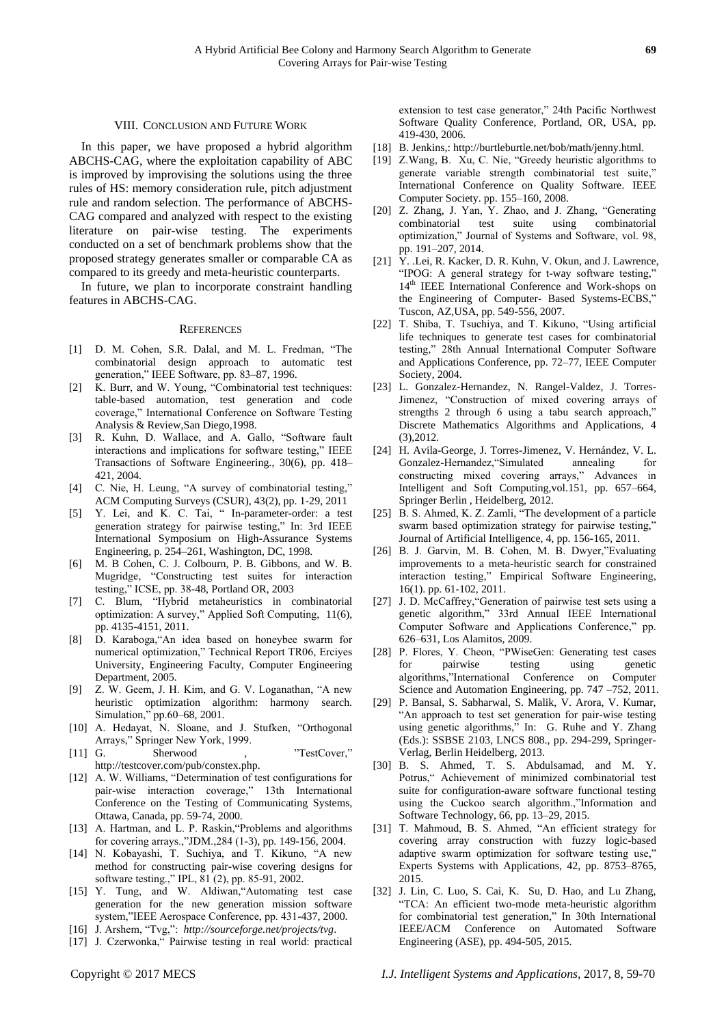#### VIII. CONCLUSION AND FUTURE WORK

In this paper, we have proposed a hybrid algorithm ABCHS-CAG, where the exploitation capability of ABC is improved by improvising the solutions using the three rules of HS: memory consideration rule, pitch adjustment rule and random selection. The performance of ABCHS-CAG compared and analyzed with respect to the existing literature on pair-wise testing. The experiments conducted on a set of benchmark problems show that the proposed strategy generates smaller or comparable CA as compared to its greedy and meta-heuristic counterparts.

In future, we plan to incorporate constraint handling features in ABCHS-CAG.

#### **REFERENCES**

- [1] D. M. Cohen, S.R. Dalal, and M. L. Fredman, "The combinatorial design approach to automatic test generation," IEEE Software, pp. 83–87, 1996.
- [2] K. Burr, and W. Young, "Combinatorial test techniques: table-based automation, test generation and code coverage," International Conference on Software Testing Analysis & Review,San Diego,1998.
- [3] R. Kuhn, D. Wallace, and A. Gallo, "Software fault interactions and implications for software testing," IEEE Transactions of Software Engineering., 30(6), pp. 418– 421, 2004.
- [4] C. Nie, H. Leung, "A survey of combinatorial testing," ACM Computing Surveys (CSUR), 43(2), pp. 1-29, 2011
- [5] Y. Lei, and K. C. Tai, " In-parameter-order: a test generation strategy for pairwise testing," In: 3rd IEEE International Symposium on High-Assurance Systems Engineering, p. 254–261, Washington, DC, 1998.
- [6] M. B Cohen, C. J. Colbourn, P. B. Gibbons, and W. B. Mugridge, "Constructing test suites for interaction testing," ICSE, pp. 38-48, Portland OR, 2003
- [7] C. Blum, "Hybrid metaheuristics in combinatorial optimization: A survey," Applied Soft Computing, 11(6), pp. 4135-4151, 2011.
- [8] D. Karaboga,"An idea based on honeybee swarm for numerical optimization," Technical Report TR06, Erciyes University, Engineering Faculty, Computer Engineering Department, 2005.
- [9] Z. W. Geem, J. H. Kim, and G. V. Loganathan, "A new heuristic optimization algorithm: harmony search. Simulation," pp.60–68, 2001.
- [10] A. Hedayat, N. Sloane, and J. Stufken, "Orthogonal Arrays," Springer New York, 1999.
- [11] G. Sherwood , "TestCover," [http://testcover.com/pub/constex.php.](http://testcover.com/pub/constex.php)
- [12] A. W. Williams, "Determination of test configurations for pair-wise interaction coverage," 13th International Conference on the Testing of Communicating Systems, Ottawa, Canada, pp. 59-74, 2000.
- [13] A. Hartman, and L. P. Raskin, "Problems and algorithms for covering arrays.,"JDM.,284 (1-3), pp. 149-156, 2004.
- [14] N. Kobayashi, T. Suchiya, and T. Kikuno, "A new method for constructing pair-wise covering designs for software testing.," IPL, 81 (2), pp. 85-91, 2002.
- [15] Y. Tung, and W. Aldiwan,"Automating test case generation for the new generation mission software system,"IEEE Aerospace Conference, pp. 431-437, 2000.
- [16] J. Arshem, "Tvg,": *http://sourceforge.net/projects/tvg*.
- [17] J. Czerwonka," Pairwise testing in real world: practical

extension to test case generator," 24th Pacific Northwest Software Quality Conference, Portland, OR, USA, pp. 419-430, 2006.

- [18] B. Jenkins,: [http://burtleburtle.net/bob/math/jenny.html.](http://burtleburtle.net/bob/math/jenny.html)
- [19] Z.Wang, B. Xu, C. Nie, "Greedy heuristic algorithms to generate variable strength combinatorial test suite," International Conference on Quality Software. IEEE Computer Society. pp. 155–160, 2008.
- [20] Z. Zhang, J. Yan, Y. Zhao, and J. Zhang, "Generating combinatorial test suite using combinatorial optimization," Journal of Systems and Software, vol. 98, pp. 191–207, 2014.
- [21] Y. .Lei, R. Kacker, D. R. Kuhn, V. Okun, and J. Lawrence, "IPOG: A general strategy for t-way software testing," 14<sup>th</sup> IEEE International Conference and Work-shops on the Engineering of Computer- Based Systems-ECBS," Tuscon, AZ,USA, pp. 549-556, 2007.
- [22] T. Shiba, T. Tsuchiya, and T. Kikuno, "Using artificial life techniques to generate test cases for combinatorial testing," 28th Annual International Computer Software and Applications Conference, pp. 72–77, IEEE Computer Society, 2004.
- [23] L. Gonzalez-Hernandez, N. Rangel-Valdez, J. Torres-Jimenez, "Construction of mixed covering arrays of strengths 2 through 6 using a tabu search approach," Discrete Mathematics Algorithms and Applications, 4 (3),2012.
- [24] H. Avila-George, J. Torres-Jimenez, V. Hernández, V. L. Gonzalez-Hernandez, "Simulated annealing for constructing mixed covering arrays," Advances in Intelligent and Soft Computing,vol.151, pp. 657–664, Springer Berlin , Heidelberg, 2012.
- [25] B. S. Ahmed, K. Z. Zamli, "The development of a particle swarm based optimization strategy for pairwise testing,' Journal of Artificial Intelligence, 4, pp. 156-165, 2011.
- [26] B. J. Garvin, M. B. Cohen, M. B. Dwyer,"Evaluating improvements to a meta-heuristic search for constrained interaction testing," Empirical Software Engineering, 16(1). pp. 61-102, 2011.
- [27] J. D. McCaffrey,"Generation of pairwise test sets using a genetic algorithm," 33rd Annual IEEE International Computer Software and Applications Conference," pp. 626–631, Los Alamitos, 2009.
- [28] P. Flores, Y. Cheon, "PWiseGen: Generating test cases for pairwise testing using genetic algorithms,"International Conference on Computer Science and Automation Engineering, pp. 747 –752, 2011.
- [29] P. Bansal, S. Sabharwal, S. Malik, V. Arora, V. Kumar, "An approach to test set generation for pair-wise testing using genetic algorithms," In: G. Ruhe and Y. Zhang (Eds.): SSBSE 2103, LNCS 808., pp. 294-299, Springer-Verlag, Berlin Heidelberg, 2013.
- [30] B. S. Ahmed, T. S. Abdulsamad, and M. Y. Potrus," Achievement of minimized combinatorial test suite for configuration-aware software functional testing using the Cuckoo search algorithm.,"Information and Software Technology, 66, pp. 13–29, 2015.
- [31] T. Mahmoud, B. S. Ahmed, "An efficient strategy for covering array construction with fuzzy logic-based adaptive swarm optimization for software testing use," Experts Systems with Applications, 42, pp. 8753–8765, 2015.
- [32] J. Lin, C. Luo, S. Cai, K. Su, D. Hao, and Lu Zhang, "TCA: An efficient two-mode meta-heuristic algorithm for combinatorial test generation," In 30th International IEEE/ACM Conference on Automated Software Engineering (ASE), pp. 494-505, 2015.